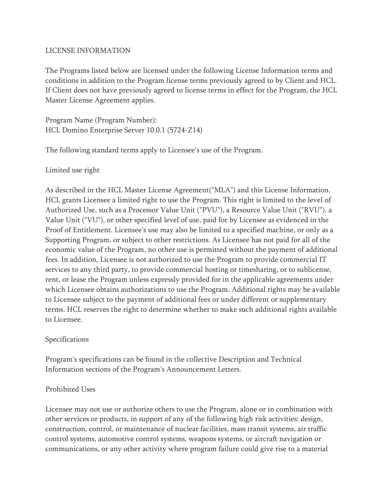## LICENSE INFORMATION

The Programs listed below are licensed under the following License Information terms and conditions in addition to the Program license terms previously agreed to by Client and HCL. If Client does not have previously agreed to license terms in effect for the Program, the HCL Master License Agreement applies.

Program Name (Program Number): HCL Domino Enterprise Server 10.0.1 (5724-Z14)

The following standard terms apply to Licensee's use of the Program.

Limited use right

As described in the HCL Master License Agreement("MLA") and this License Information, HCL grants Licensee a limited right to use the Program. This right is limited to the level of Authorized Use, such as a Processor Value Unit ("PVU"), a Resource Value Unit ("RVU"), a Value Unit ("VU"), or other specified level of use, paid for by Licensee as evidenced in the Proof of Entitlement. Licensee's use may also be limited to a specified machine, or only as a Supporting Program, or subject to other restrictions. As Licensee has not paid for all of the economic value of the Program, no other use is permitted without the payment of additional fees. In addition, Licensee is not authorized to use the Program to provide commercial IT services to any third party, to provide commercial hosting or timesharing, or to sublicense, rent, or lease the Program unless expressly provided for in the applicable agreements under which Licensee obtains authorizations to use the Program. Additional rights may be available to Licensee subject to the payment of additional fees or under different or supplementary terms. HCL reserves the right to determine whether to make such additional rights available to Licensee.

## Specifications

Program's specifications can be found in the collective Description and Technical Information sections of the Program's Announcement Letters.

## Prohibited Uses

Licensee may not use or authorize others to use the Program, alone or in combination with other services or products, in support of any of the following high risk activities: design, construction, control, or maintenance of nuclear facilities, mass transit systems, air traffic control systems, automotive control systems, weapons systems, or aircraft navigation or communications, or any other activity where program failure could give rise to a material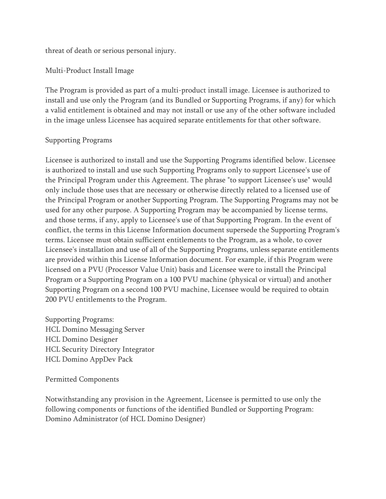threat of death or serious personal injury.

Multi-Product Install Image

The Program is provided as part of a multi-product install image. Licensee is authorized to install and use only the Program (and its Bundled or Supporting Programs, if any) for which a valid entitlement is obtained and may not install or use any of the other software included in the image unless Licensee has acquired separate entitlements for that other software.

## Supporting Programs

Licensee is authorized to install and use the Supporting Programs identified below. Licensee is authorized to install and use such Supporting Programs only to support Licensee's use of the Principal Program under this Agreement. The phrase "to support Licensee's use" would only include those uses that are necessary or otherwise directly related to a licensed use of the Principal Program or another Supporting Program. The Supporting Programs may not be used for any other purpose. A Supporting Program may be accompanied by license terms, and those terms, if any, apply to Licensee's use of that Supporting Program. In the event of conflict, the terms in this License Information document supersede the Supporting Program's terms. Licensee must obtain sufficient entitlements to the Program, as a whole, to cover Licensee's installation and use of all of the Supporting Programs, unless separate entitlements are provided within this License Information document. For example, if this Program were licensed on a PVU (Processor Value Unit) basis and Licensee were to install the Principal Program or a Supporting Program on a 100 PVU machine (physical or virtual) and another Supporting Program on a second 100 PVU machine, Licensee would be required to obtain 200 PVU entitlements to the Program.

Supporting Programs: HCL Domino Messaging Server HCL Domino Designer HCL Security Directory Integrator HCL Domino AppDev Pack

Permitted Components

Notwithstanding any provision in the Agreement, Licensee is permitted to use only the following components or functions of the identified Bundled or Supporting Program: Domino Administrator (of HCL Domino Designer)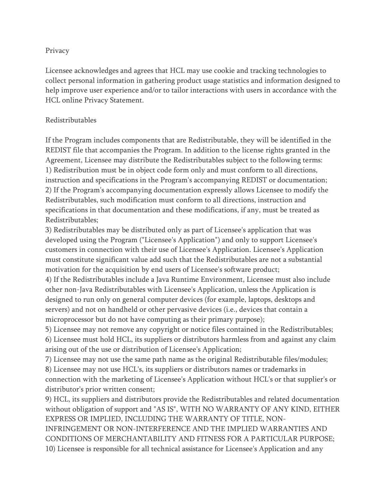#### Privacy

Licensee acknowledges and agrees that HCL may use cookie and tracking technologies to collect personal information in gathering product usage statistics and information designed to help improve user experience and/or to tailor interactions with users in accordance with the HCL online Privacy Statement.

## Redistributables

If the Program includes components that are Redistributable, they will be identified in the REDIST file that accompanies the Program. In addition to the license rights granted in the Agreement, Licensee may distribute the Redistributables subject to the following terms: 1) Redistribution must be in object code form only and must conform to all directions, instruction and specifications in the Program's accompanying REDIST or documentation; 2) If the Program's accompanying documentation expressly allows Licensee to modify the Redistributables, such modification must conform to all directions, instruction and specifications in that documentation and these modifications, if any, must be treated as Redistributables;

3) Redistributables may be distributed only as part of Licensee's application that was developed using the Program ("Licensee's Application") and only to support Licensee's customers in connection with their use of Licensee's Application. Licensee's Application must constitute significant value add such that the Redistributables are not a substantial motivation for the acquisition by end users of Licensee's software product;

4) If the Redistributables include a Java Runtime Environment, Licensee must also include other non-Java Redistributables with Licensee's Application, unless the Application is designed to run only on general computer devices (for example, laptops, desktops and servers) and not on handheld or other pervasive devices (i.e., devices that contain a microprocessor but do not have computing as their primary purpose);

5) Licensee may not remove any copyright or notice files contained in the Redistributables; 6) Licensee must hold HCL, its suppliers or distributors harmless from and against any claim arising out of the use or distribution of Licensee's Application;

7) Licensee may not use the same path name as the original Redistributable files/modules; 8) Licensee may not use HCL's, its suppliers or distributors names or trademarks in connection with the marketing of Licensee's Application without HCL's or that supplier's or distributor's prior written consent;

9) HCL, its suppliers and distributors provide the Redistributables and related documentation without obligation of support and "AS IS", WITH NO WARRANTY OF ANY KIND, EITHER EXPRESS OR IMPLIED, INCLUDING THE WARRANTY OF TITLE, NON-INFRINGEMENT OR NON-INTERFERENCE AND THE IMPLIED WARRANTIES AND CONDITIONS OF MERCHANTABILITY AND FITNESS FOR A PARTICULAR PURPOSE; 10) Licensee is responsible for all technical assistance for Licensee's Application and any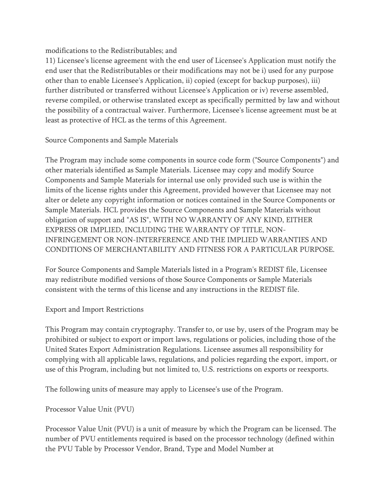modifications to the Redistributables; and

11) Licensee's license agreement with the end user of Licensee's Application must notify the end user that the Redistributables or their modifications may not be i) used for any purpose other than to enable Licensee's Application, ii) copied (except for backup purposes), iii) further distributed or transferred without Licensee's Application or iv) reverse assembled, reverse compiled, or otherwise translated except as specifically permitted by law and without the possibility of a contractual waiver. Furthermore, Licensee's license agreement must be at least as protective of HCL as the terms of this Agreement.

Source Components and Sample Materials

The Program may include some components in source code form ("Source Components") and other materials identified as Sample Materials. Licensee may copy and modify Source Components and Sample Materials for internal use only provided such use is within the limits of the license rights under this Agreement, provided however that Licensee may not alter or delete any copyright information or notices contained in the Source Components or Sample Materials. HCL provides the Source Components and Sample Materials without obligation of support and "AS IS", WITH NO WARRANTY OF ANY KIND, EITHER EXPRESS OR IMPLIED, INCLUDING THE WARRANTY OF TITLE, NON-INFRINGEMENT OR NON-INTERFERENCE AND THE IMPLIED WARRANTIES AND CONDITIONS OF MERCHANTABILITY AND FITNESS FOR A PARTICULAR PURPOSE.

For Source Components and Sample Materials listed in a Program's REDIST file, Licensee may redistribute modified versions of those Source Components or Sample Materials consistent with the terms of this license and any instructions in the REDIST file.

# Export and Import Restrictions

This Program may contain cryptography. Transfer to, or use by, users of the Program may be prohibited or subject to export or import laws, regulations or policies, including those of the United States Export Administration Regulations. Licensee assumes all responsibility for complying with all applicable laws, regulations, and policies regarding the export, import, or use of this Program, including but not limited to, U.S. restrictions on exports or reexports.

The following units of measure may apply to Licensee's use of the Program.

Processor Value Unit (PVU)

Processor Value Unit (PVU) is a unit of measure by which the Program can be licensed. The number of PVU entitlements required is based on the processor technology (defined within the PVU Table by Processor Vendor, Brand, Type and Model Number at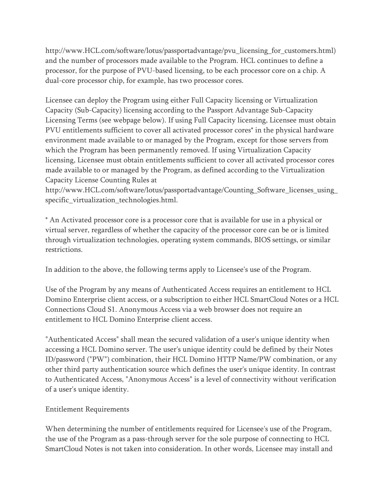http://www.HCL.com/software/lotus/passportadvantage/pvu\_licensing\_for\_customers.html) and the number of processors made available to the Program. HCL continues to define a processor, for the purpose of PVU-based licensing, to be each processor core on a chip. A dual-core processor chip, for example, has two processor cores.

Licensee can deploy the Program using either Full Capacity licensing or Virtualization Capacity (Sub-Capacity) licensing according to the Passport Advantage Sub-Capacity Licensing Terms (see webpage below). If using Full Capacity licensing, Licensee must obtain PVU entitlements sufficient to cover all activated processor cores\* in the physical hardware environment made available to or managed by the Program, except for those servers from which the Program has been permanently removed. If using Virtualization Capacity licensing, Licensee must obtain entitlements sufficient to cover all activated processor cores made available to or managed by the Program, as defined according to the Virtualization Capacity License Counting Rules at

http://www.HCL.com/software/lotus/passportadvantage/Counting\_Software\_licenses\_using\_ specific\_virtualization\_technologies.html.

\* An Activated processor core is a processor core that is available for use in a physical or virtual server, regardless of whether the capacity of the processor core can be or is limited through virtualization technologies, operating system commands, BIOS settings, or similar restrictions.

In addition to the above, the following terms apply to Licensee's use of the Program.

Use of the Program by any means of Authenticated Access requires an entitlement to HCL Domino Enterprise client access, or a subscription to either HCL SmartCloud Notes or a HCL Connections Cloud S1. Anonymous Access via a web browser does not require an entitlement to HCL Domino Enterprise client access.

"Authenticated Access" shall mean the secured validation of a user's unique identity when accessing a HCL Domino server. The user's unique identity could be defined by their Notes ID/password ("PW") combination, their HCL Domino HTTP Name/PW combination, or any other third party authentication source which defines the user's unique identity. In contrast to Authenticated Access, "Anonymous Access" is a level of connectivity without verification of a user's unique identity.

# Entitlement Requirements

When determining the number of entitlements required for Licensee's use of the Program, the use of the Program as a pass-through server for the sole purpose of connecting to HCL SmartCloud Notes is not taken into consideration. In other words, Licensee may install and